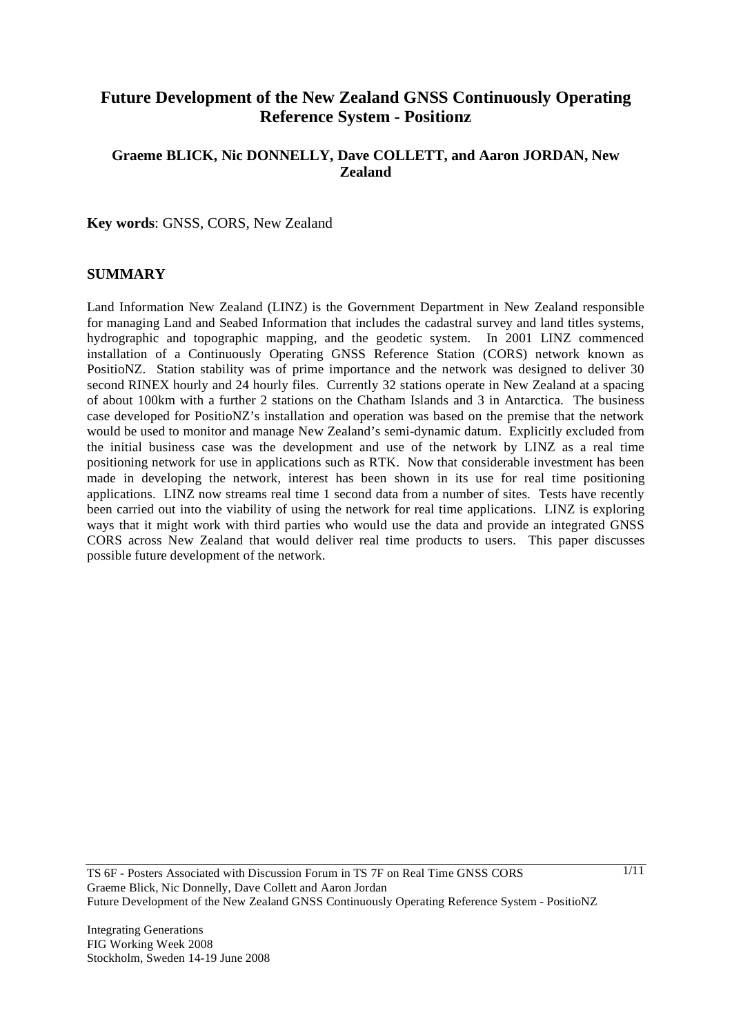# **Future Development of the New Zealand GNSS Continuously Operating Reference System - Positionz**

#### **Graeme BLICK, Nic DONNELLY, Dave COLLETT, and Aaron JORDAN, New Zealand**

**Key words**: GNSS, CORS, New Zealand

#### **SUMMARY**

Land Information New Zealand (LINZ) is the Government Department in New Zealand responsible for managing Land and Seabed Information that includes the cadastral survey and land titles systems, hydrographic and topographic mapping, and the geodetic system. In 2001 LINZ commenced installation of a Continuously Operating GNSS Reference Station (CORS) network known as PositioNZ. Station stability was of prime importance and the network was designed to deliver 30 second RINEX hourly and 24 hourly files. Currently 32 stations operate in New Zealand at a spacing of about 100km with a further 2 stations on the Chatham Islands and 3 in Antarctica. The business case developed for PositioNZ's installation and operation was based on the premise that the network would be used to monitor and manage New Zealand's semi-dynamic datum. Explicitly excluded from the initial business case was the development and use of the network by LINZ as a real time positioning network for use in applications such as RTK. Now that considerable investment has been made in developing the network, interest has been shown in its use for real time positioning applications. LINZ now streams real time 1 second data from a number of sites. Tests have recently been carried out into the viability of using the network for real time applications. LINZ is exploring ways that it might work with third parties who would use the data and provide an integrated GNSS CORS across New Zealand that would deliver real time products to users. This paper discusses possible future development of the network.

TS 6F - Posters Associated with Discussion Forum in TS 7F on Real Time GNSS CORS Graeme Blick, Nic Donnelly, Dave Collett and Aaron Jordan Future Development of the New Zealand GNSS Continuously Operating Reference System - PositioNZ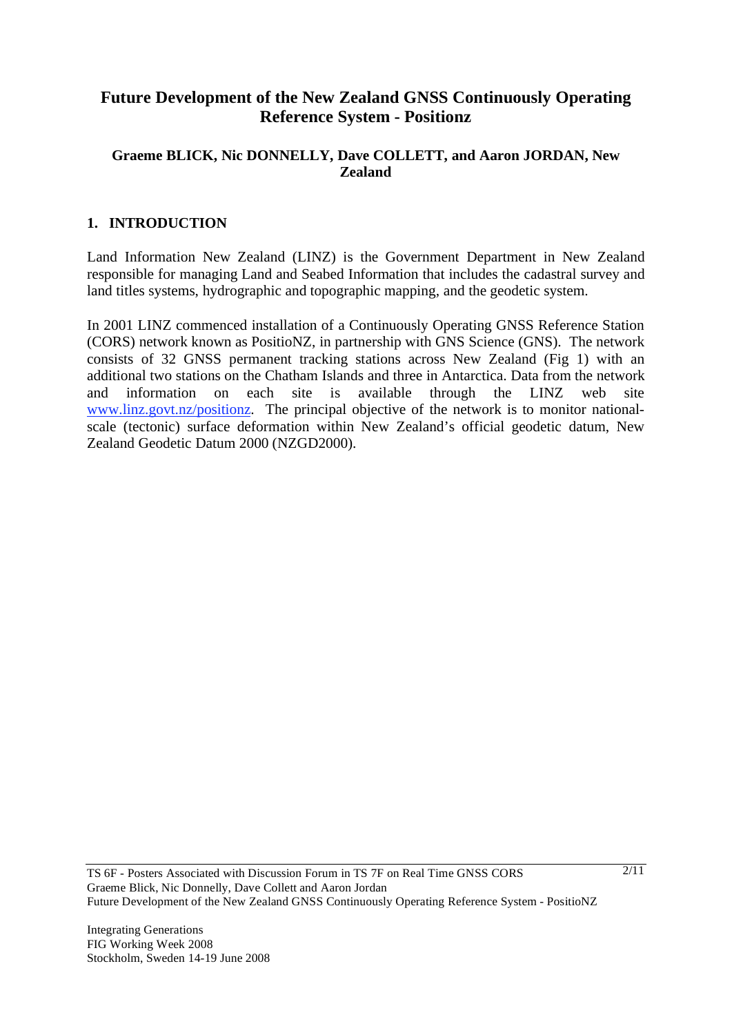# **Future Development of the New Zealand GNSS Continuously Operating Reference System - Positionz**

#### **Graeme BLICK, Nic DONNELLY, Dave COLLETT, and Aaron JORDAN, New Zealand**

### **1. INTRODUCTION**

Land Information New Zealand (LINZ) is the Government Department in New Zealand responsible for managing Land and Seabed Information that includes the cadastral survey and land titles systems, hydrographic and topographic mapping, and the geodetic system.

In 2001 LINZ commenced installation of a Continuously Operating GNSS Reference Station (CORS) network known as PositioNZ, in partnership with GNS Science (GNS). The network consists of 32 GNSS permanent tracking stations across New Zealand (Fig 1) with an additional two stations on the Chatham Islands and three in Antarctica. Data from the network and information on each site is available through the LINZ web site www.linz.govt.nz/positionz. The principal objective of the network is to monitor nationalscale (tectonic) surface deformation within New Zealand's official geodetic datum, New Zealand Geodetic Datum 2000 (NZGD2000).

TS 6F - Posters Associated with Discussion Forum in TS 7F on Real Time GNSS CORS Graeme Blick, Nic Donnelly, Dave Collett and Aaron Jordan Future Development of the New Zealand GNSS Continuously Operating Reference System - PositioNZ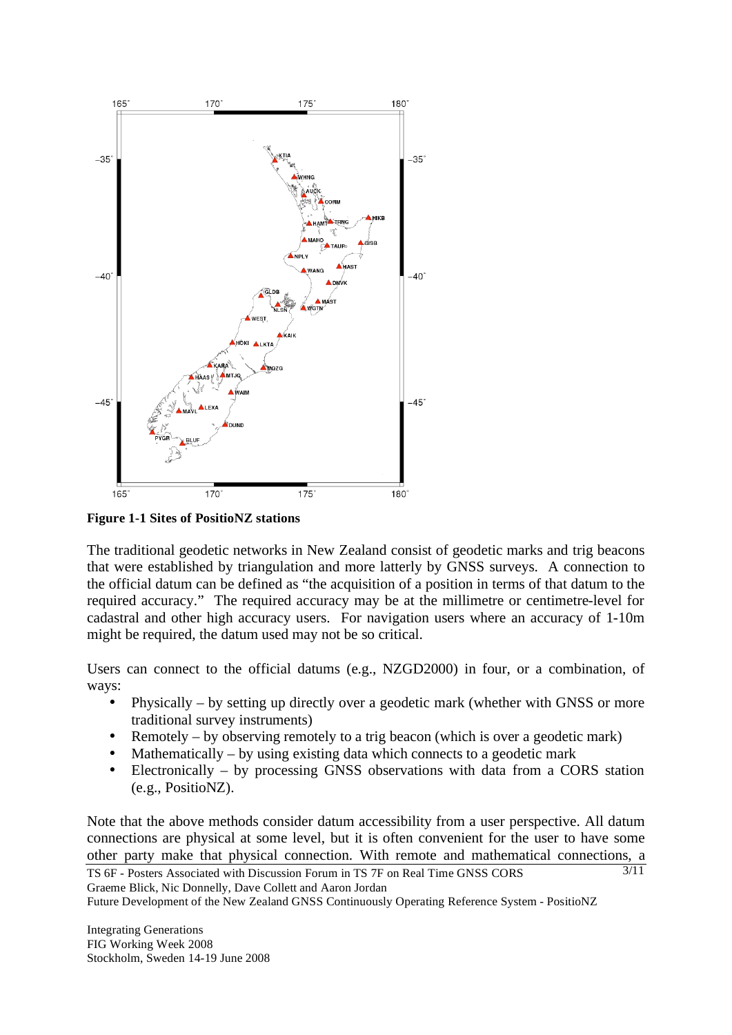

**Figure 1-1 Sites of PositioNZ stations** 

The traditional geodetic networks in New Zealand consist of geodetic marks and trig beacons that were established by triangulation and more latterly by GNSS surveys. A connection to the official datum can be defined as "the acquisition of a position in terms of that datum to the required accuracy." The required accuracy may be at the millimetre or centimetre-level for cadastral and other high accuracy users. For navigation users where an accuracy of 1-10m might be required, the datum used may not be so critical.

Users can connect to the official datums (e.g., NZGD2000) in four, or a combination, of ways:

- Physically by setting up directly over a geodetic mark (whether with GNSS or more traditional survey instruments)
- Remotely by observing remotely to a trig beacon (which is over a geodetic mark)
- Mathematically by using existing data which connects to a geodetic mark
- Electronically by processing GNSS observations with data from a CORS station (e.g., PositioNZ).

3/11 Note that the above methods consider datum accessibility from a user perspective. All datum connections are physical at some level, but it is often convenient for the user to have some other party make that physical connection. With remote and mathematical connections, a

```
TS 6F - Posters Associated with Discussion Forum in TS 7F on Real Time GNSS CORS 
Graeme Blick, Nic Donnelly, Dave Collett and Aaron Jordan
```
Future Development of the New Zealand GNSS Continuously Operating Reference System - PositioNZ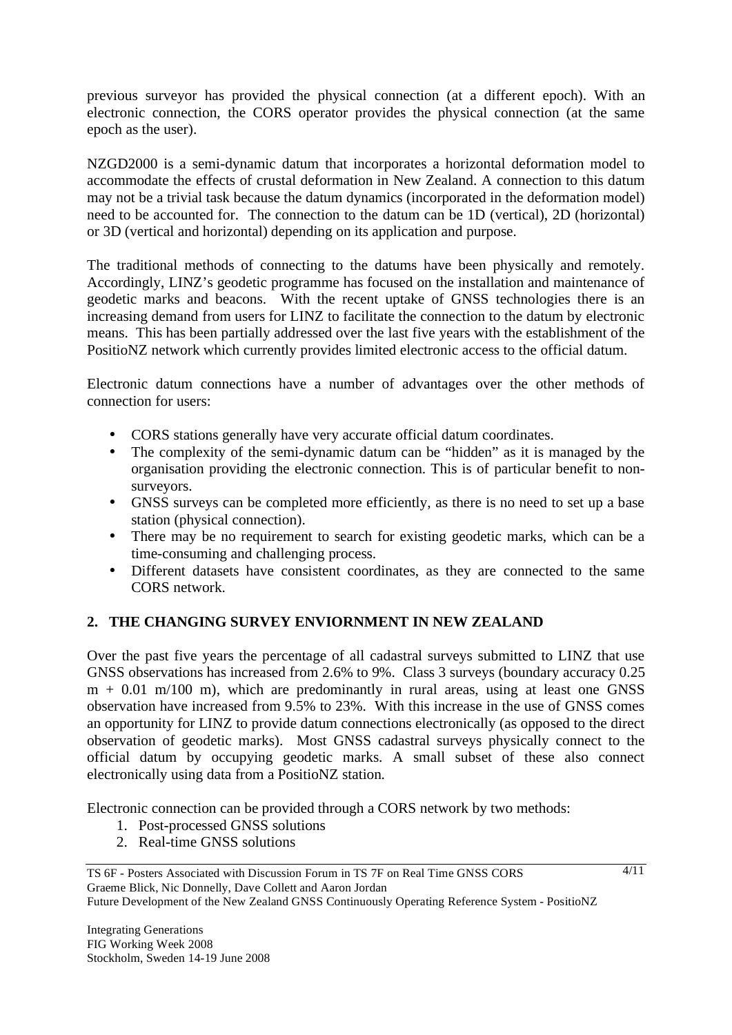previous surveyor has provided the physical connection (at a different epoch). With an electronic connection, the CORS operator provides the physical connection (at the same epoch as the user).

NZGD2000 is a semi-dynamic datum that incorporates a horizontal deformation model to accommodate the effects of crustal deformation in New Zealand. A connection to this datum may not be a trivial task because the datum dynamics (incorporated in the deformation model) need to be accounted for. The connection to the datum can be 1D (vertical), 2D (horizontal) or 3D (vertical and horizontal) depending on its application and purpose.

The traditional methods of connecting to the datums have been physically and remotely. Accordingly, LINZ's geodetic programme has focused on the installation and maintenance of geodetic marks and beacons. With the recent uptake of GNSS technologies there is an increasing demand from users for LINZ to facilitate the connection to the datum by electronic means. This has been partially addressed over the last five years with the establishment of the PositioNZ network which currently provides limited electronic access to the official datum.

Electronic datum connections have a number of advantages over the other methods of connection for users:

- CORS stations generally have very accurate official datum coordinates.
- The complexity of the semi-dynamic datum can be "hidden" as it is managed by the organisation providing the electronic connection. This is of particular benefit to nonsurveyors.
- GNSS surveys can be completed more efficiently, as there is no need to set up a base station (physical connection).
- There may be no requirement to search for existing geodetic marks, which can be a time-consuming and challenging process.
- Different datasets have consistent coordinates, as they are connected to the same CORS network.

## **2. THE CHANGING SURVEY ENVIORNMENT IN NEW ZEALAND**

Over the past five years the percentage of all cadastral surveys submitted to LINZ that use GNSS observations has increased from 2.6% to 9%. Class 3 surveys (boundary accuracy 0.25 m + 0.01 m/100 m), which are predominantly in rural areas, using at least one GNSS observation have increased from 9.5% to 23%. With this increase in the use of GNSS comes an opportunity for LINZ to provide datum connections electronically (as opposed to the direct observation of geodetic marks). Most GNSS cadastral surveys physically connect to the official datum by occupying geodetic marks. A small subset of these also connect electronically using data from a PositioNZ station.

Electronic connection can be provided through a CORS network by two methods:

- 1. Post-processed GNSS solutions
- 2. Real-time GNSS solutions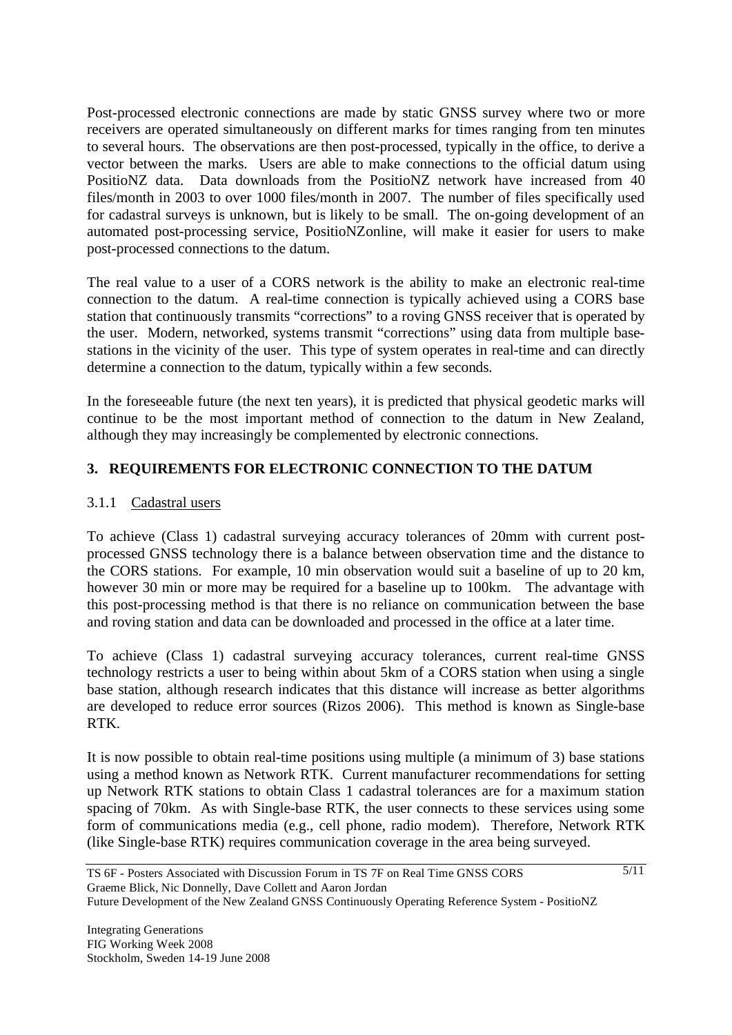Post-processed electronic connections are made by static GNSS survey where two or more receivers are operated simultaneously on different marks for times ranging from ten minutes to several hours. The observations are then post-processed, typically in the office, to derive a vector between the marks. Users are able to make connections to the official datum using PositioNZ data. Data downloads from the PositioNZ network have increased from 40 files/month in 2003 to over 1000 files/month in 2007. The number of files specifically used for cadastral surveys is unknown, but is likely to be small. The on-going development of an automated post-processing service, PositioNZonline, will make it easier for users to make post-processed connections to the datum.

The real value to a user of a CORS network is the ability to make an electronic real-time connection to the datum. A real-time connection is typically achieved using a CORS base station that continuously transmits "corrections" to a roving GNSS receiver that is operated by the user. Modern, networked, systems transmit "corrections" using data from multiple basestations in the vicinity of the user. This type of system operates in real-time and can directly determine a connection to the datum, typically within a few seconds.

In the foreseeable future (the next ten years), it is predicted that physical geodetic marks will continue to be the most important method of connection to the datum in New Zealand, although they may increasingly be complemented by electronic connections.

## **3. REQUIREMENTS FOR ELECTRONIC CONNECTION TO THE DATUM**

#### 3.1.1 Cadastral users

To achieve (Class 1) cadastral surveying accuracy tolerances of 20mm with current postprocessed GNSS technology there is a balance between observation time and the distance to the CORS stations. For example, 10 min observation would suit a baseline of up to 20 km, however 30 min or more may be required for a baseline up to 100km. The advantage with this post-processing method is that there is no reliance on communication between the base and roving station and data can be downloaded and processed in the office at a later time.

To achieve (Class 1) cadastral surveying accuracy tolerances, current real-time GNSS technology restricts a user to being within about 5km of a CORS station when using a single base station, although research indicates that this distance will increase as better algorithms are developed to reduce error sources (Rizos 2006). This method is known as Single-base RTK.

It is now possible to obtain real-time positions using multiple (a minimum of 3) base stations using a method known as Network RTK. Current manufacturer recommendations for setting up Network RTK stations to obtain Class 1 cadastral tolerances are for a maximum station spacing of 70km. As with Single-base RTK, the user connects to these services using some form of communications media (e.g., cell phone, radio modem). Therefore, Network RTK (like Single-base RTK) requires communication coverage in the area being surveyed.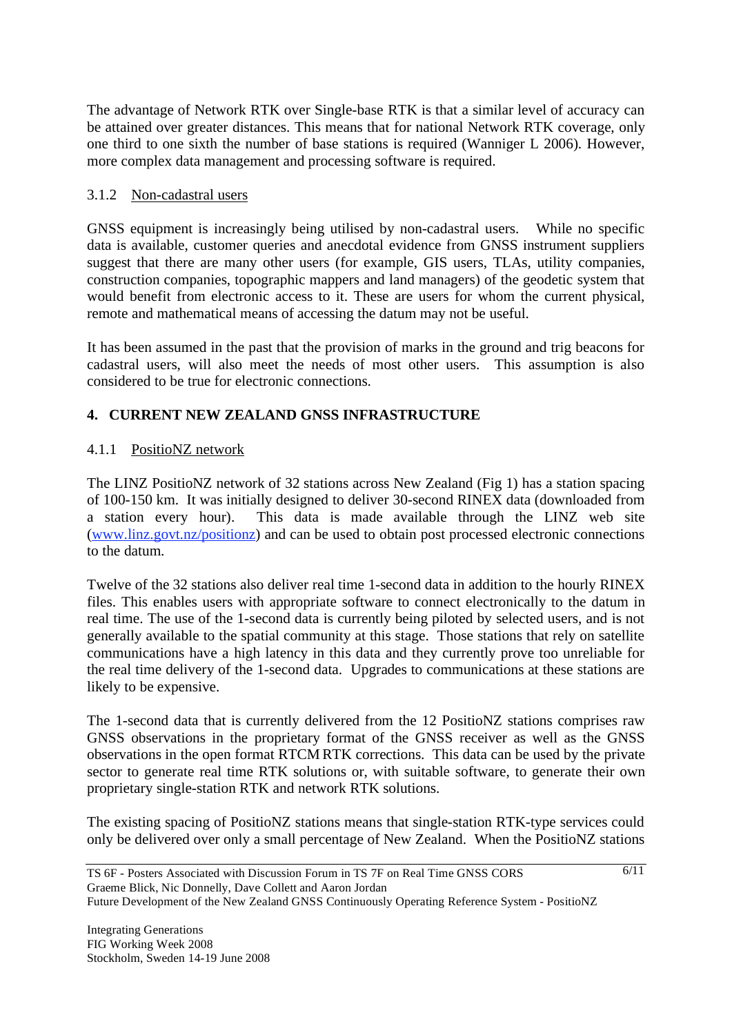The advantage of Network RTK over Single-base RTK is that a similar level of accuracy can be attained over greater distances. This means that for national Network RTK coverage, only one third to one sixth the number of base stations is required (Wanniger L 2006). However, more complex data management and processing software is required.

#### 3.1.2 Non-cadastral users

GNSS equipment is increasingly being utilised by non-cadastral users. While no specific data is available, customer queries and anecdotal evidence from GNSS instrument suppliers suggest that there are many other users (for example, GIS users, TLAs, utility companies, construction companies, topographic mappers and land managers) of the geodetic system that would benefit from electronic access to it. These are users for whom the current physical, remote and mathematical means of accessing the datum may not be useful.

It has been assumed in the past that the provision of marks in the ground and trig beacons for cadastral users, will also meet the needs of most other users. This assumption is also considered to be true for electronic connections.

# **4. CURRENT NEW ZEALAND GNSS INFRASTRUCTURE**

## 4.1.1 PositioNZ network

The LINZ PositioNZ network of 32 stations across New Zealand (Fig 1) has a station spacing of 100-150 km. It was initially designed to deliver 30-second RINEX data (downloaded from a station every hour). This data is made available through the LINZ web site (www.linz.govt.nz/positionz) and can be used to obtain post processed electronic connections to the datum.

Twelve of the 32 stations also deliver real time 1-second data in addition to the hourly RINEX files. This enables users with appropriate software to connect electronically to the datum in real time. The use of the 1-second data is currently being piloted by selected users, and is not generally available to the spatial community at this stage. Those stations that rely on satellite communications have a high latency in this data and they currently prove too unreliable for the real time delivery of the 1-second data. Upgrades to communications at these stations are likely to be expensive.

The 1-second data that is currently delivered from the 12 PositioNZ stations comprises raw GNSS observations in the proprietary format of the GNSS receiver as well as the GNSS observations in the open format RTCM RTK corrections. This data can be used by the private sector to generate real time RTK solutions or, with suitable software, to generate their own proprietary single-station RTK and network RTK solutions.

The existing spacing of PositioNZ stations means that single-station RTK-type services could only be delivered over only a small percentage of New Zealand. When the PositioNZ stations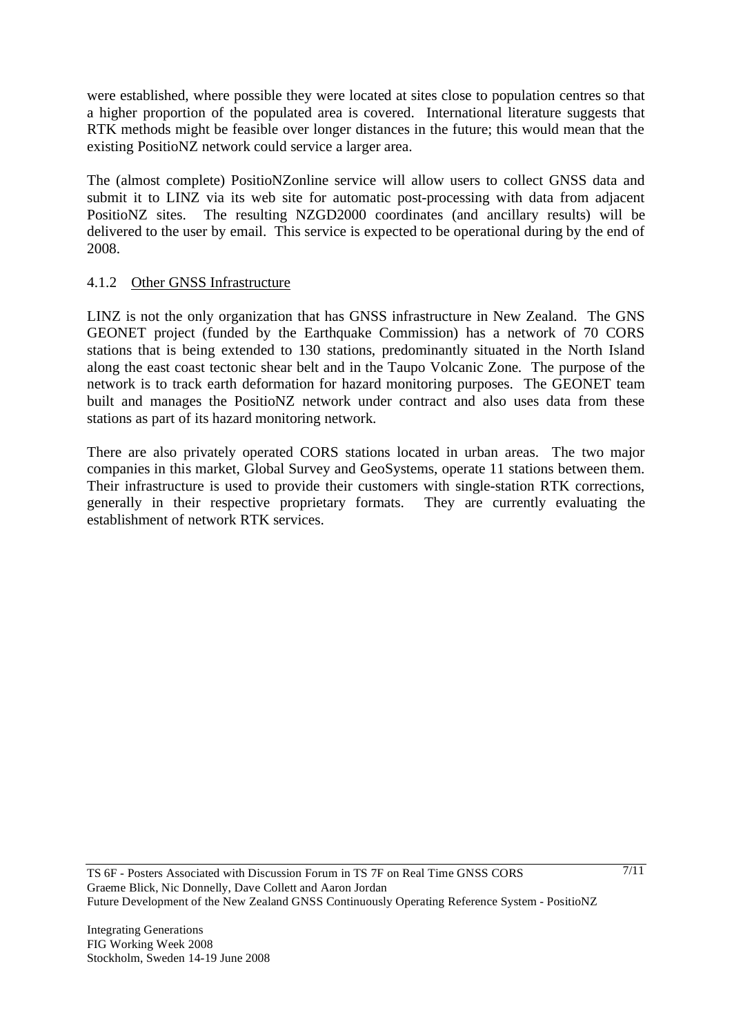were established, where possible they were located at sites close to population centres so that a higher proportion of the populated area is covered. International literature suggests that RTK methods might be feasible over longer distances in the future; this would mean that the existing PositioNZ network could service a larger area.

The (almost complete) PositioNZonline service will allow users to collect GNSS data and submit it to LINZ via its web site for automatic post-processing with data from adjacent PositioNZ sites. The resulting NZGD2000 coordinates (and ancillary results) will be delivered to the user by email. This service is expected to be operational during by the end of 2008.

#### 4.1.2 Other GNSS Infrastructure

LINZ is not the only organization that has GNSS infrastructure in New Zealand. The GNS GEONET project (funded by the Earthquake Commission) has a network of 70 CORS stations that is being extended to 130 stations, predominantly situated in the North Island along the east coast tectonic shear belt and in the Taupo Volcanic Zone. The purpose of the network is to track earth deformation for hazard monitoring purposes. The GEONET team built and manages the PositioNZ network under contract and also uses data from these stations as part of its hazard monitoring network.

There are also privately operated CORS stations located in urban areas. The two major companies in this market, Global Survey and GeoSystems, operate 11 stations between them. Their infrastructure is used to provide their customers with single-station RTK corrections, generally in their respective proprietary formats. They are currently evaluating the establishment of network RTK services.

7/11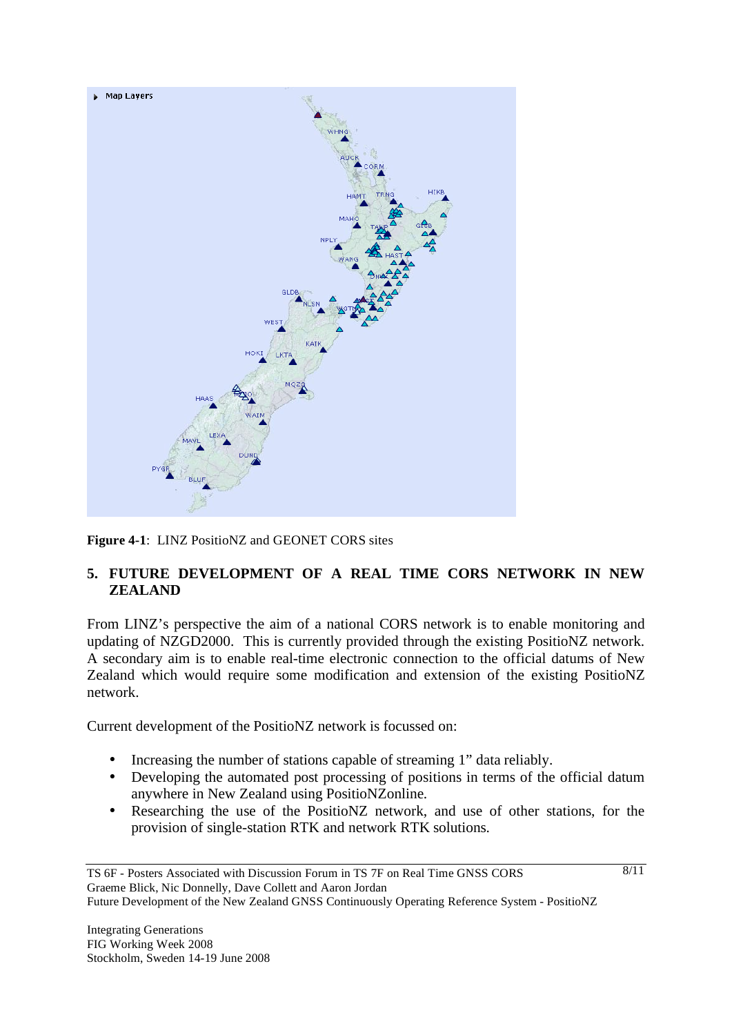

**Figure 4-1**: LINZ PositioNZ and GEONET CORS sites

## **5. FUTURE DEVELOPMENT OF A REAL TIME CORS NETWORK IN NEW ZEALAND**

From LINZ's perspective the aim of a national CORS network is to enable monitoring and updating of NZGD2000. This is currently provided through the existing PositioNZ network. A secondary aim is to enable real-time electronic connection to the official datums of New Zealand which would require some modification and extension of the existing PositioNZ network.

Current development of the PositioNZ network is focussed on:

- Increasing the number of stations capable of streaming 1" data reliably.
- Developing the automated post processing of positions in terms of the official datum anywhere in New Zealand using PositioNZonline.
- Researching the use of the PositioNZ network, and use of other stations, for the provision of single-station RTK and network RTK solutions.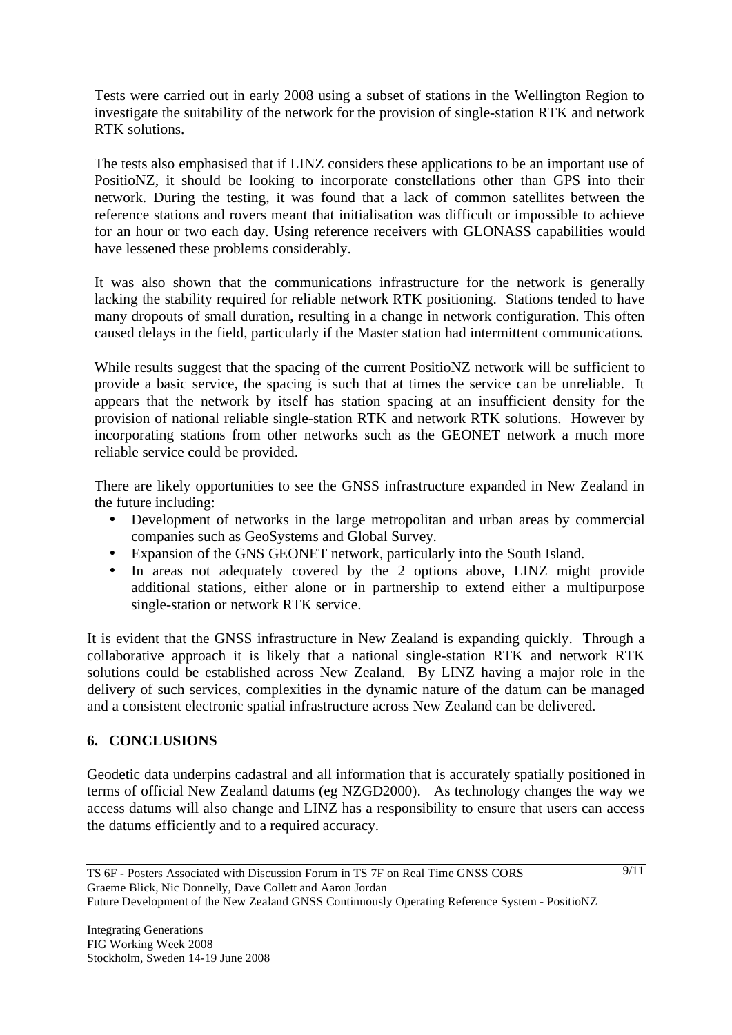Tests were carried out in early 2008 using a subset of stations in the Wellington Region to investigate the suitability of the network for the provision of single-station RTK and network RTK solutions.

The tests also emphasised that if LINZ considers these applications to be an important use of PositioNZ, it should be looking to incorporate constellations other than GPS into their network. During the testing, it was found that a lack of common satellites between the reference stations and rovers meant that initialisation was difficult or impossible to achieve for an hour or two each day. Using reference receivers with GLONASS capabilities would have lessened these problems considerably.

It was also shown that the communications infrastructure for the network is generally lacking the stability required for reliable network RTK positioning. Stations tended to have many dropouts of small duration, resulting in a change in network configuration. This often caused delays in the field, particularly if the Master station had intermittent communications.

While results suggest that the spacing of the current PositioNZ network will be sufficient to provide a basic service, the spacing is such that at times the service can be unreliable. It appears that the network by itself has station spacing at an insufficient density for the provision of national reliable single-station RTK and network RTK solutions. However by incorporating stations from other networks such as the GEONET network a much more reliable service could be provided.

There are likely opportunities to see the GNSS infrastructure expanded in New Zealand in the future including:

- Development of networks in the large metropolitan and urban areas by commercial companies such as GeoSystems and Global Survey.
- Expansion of the GNS GEONET network, particularly into the South Island.
- In areas not adequately covered by the 2 options above, LINZ might provide additional stations, either alone or in partnership to extend either a multipurpose single-station or network RTK service.

It is evident that the GNSS infrastructure in New Zealand is expanding quickly. Through a collaborative approach it is likely that a national single-station RTK and network RTK solutions could be established across New Zealand. By LINZ having a major role in the delivery of such services, complexities in the dynamic nature of the datum can be managed and a consistent electronic spatial infrastructure across New Zealand can be delivered.

## **6. CONCLUSIONS**

Geodetic data underpins cadastral and all information that is accurately spatially positioned in terms of official New Zealand datums (eg NZGD2000). As technology changes the way we access datums will also change and LINZ has a responsibility to ensure that users can access the datums efficiently and to a required accuracy.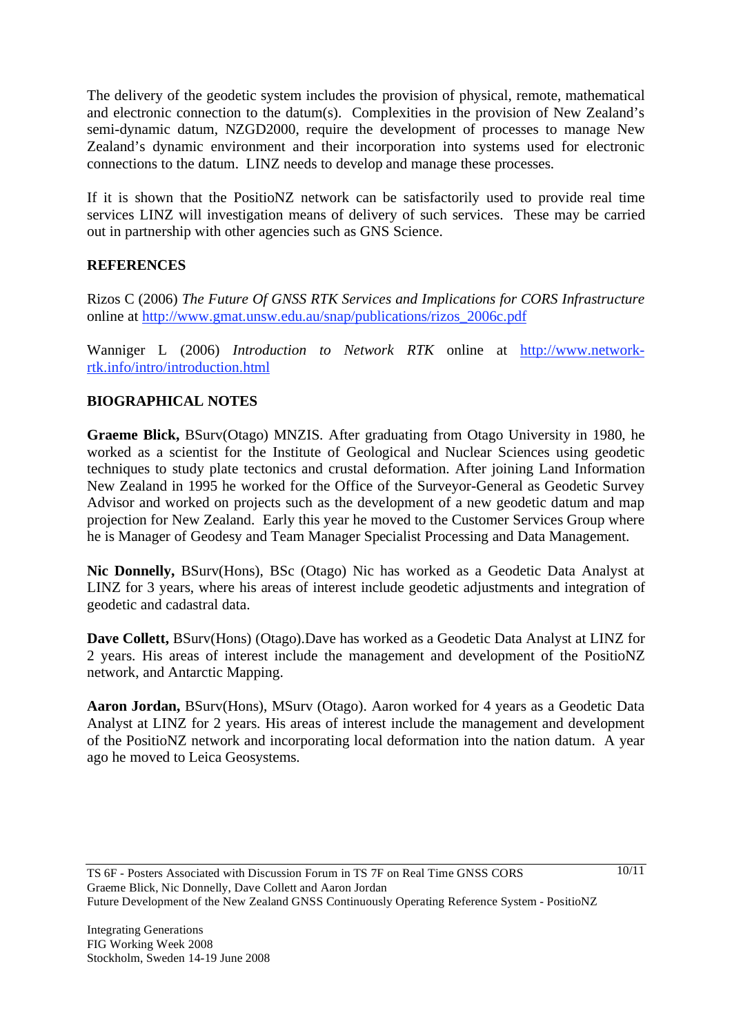The delivery of the geodetic system includes the provision of physical, remote, mathematical and electronic connection to the datum(s). Complexities in the provision of New Zealand's semi-dynamic datum, NZGD2000, require the development of processes to manage New Zealand's dynamic environment and their incorporation into systems used for electronic connections to the datum. LINZ needs to develop and manage these processes.

If it is shown that the PositioNZ network can be satisfactorily used to provide real time services LINZ will investigation means of delivery of such services. These may be carried out in partnership with other agencies such as GNS Science.

### **REFERENCES**

Rizos C (2006) *The Future Of GNSS RTK Services and Implications for CORS Infrastructure* online at http://www.gmat.unsw.edu.au/snap/publications/rizos\_2006c.pdf

Wanniger L (2006) *Introduction to Network RTK* online at http://www.networkrtk.info/intro/introduction.html

## **BIOGRAPHICAL NOTES**

**Graeme Blick,** BSurv(Otago) MNZIS. After graduating from Otago University in 1980, he worked as a scientist for the Institute of Geological and Nuclear Sciences using geodetic techniques to study plate tectonics and crustal deformation. After joining Land Information New Zealand in 1995 he worked for the Office of the Surveyor-General as Geodetic Survey Advisor and worked on projects such as the development of a new geodetic datum and map projection for New Zealand. Early this year he moved to the Customer Services Group where he is Manager of Geodesy and Team Manager Specialist Processing and Data Management.

**Nic Donnelly,** BSurv(Hons), BSc (Otago) Nic has worked as a Geodetic Data Analyst at LINZ for 3 years, where his areas of interest include geodetic adjustments and integration of geodetic and cadastral data.

**Dave Collett,** BSurv(Hons) (Otago).Dave has worked as a Geodetic Data Analyst at LINZ for 2 years. His areas of interest include the management and development of the PositioNZ network, and Antarctic Mapping.

**Aaron Jordan,** BSurv(Hons), MSurv (Otago). Aaron worked for 4 years as a Geodetic Data Analyst at LINZ for 2 years. His areas of interest include the management and development of the PositioNZ network and incorporating local deformation into the nation datum. A year ago he moved to Leica Geosystems.

10/11